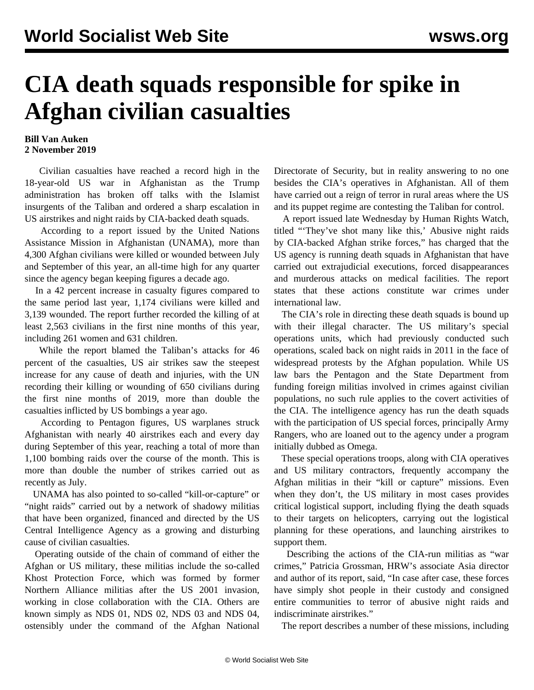## **CIA death squads responsible for spike in Afghan civilian casualties**

## **Bill Van Auken 2 November 2019**

 Civilian casualties have reached a record high in the 18-year-old US war in Afghanistan as the Trump administration has broken off talks with the Islamist insurgents of the Taliban and ordered a sharp escalation in US airstrikes and night raids by CIA-backed death squads.

 According to a report issued by the United Nations Assistance Mission in Afghanistan (UNAMA), more than 4,300 Afghan civilians were killed or wounded between July and September of this year, an all-time high for any quarter since the agency began keeping figures a decade ago.

 In a 42 percent increase in casualty figures compared to the same period last year, 1,174 civilians were killed and 3,139 wounded. The report further recorded the killing of at least 2,563 civilians in the first nine months of this year, including 261 women and 631 children.

 While the report blamed the Taliban's attacks for 46 percent of the casualties, US air strikes saw the steepest increase for any cause of death and injuries, with the UN recording their killing or wounding of 650 civilians during the first nine months of 2019, more than double the casualties inflicted by US bombings a year ago.

 According to Pentagon figures, US warplanes struck Afghanistan with nearly 40 airstrikes each and every day during September of this year, reaching a total of more than 1,100 bombing raids over the course of the month. This is more than double the number of strikes carried out as recently as July.

 UNAMA has also pointed to so-called "kill-or-capture" or "night raids" carried out by a network of shadowy militias that have been organized, financed and directed by the US Central Intelligence Agency as a growing and disturbing cause of civilian casualties.

 Operating outside of the chain of command of either the Afghan or US military, these militias include the so-called Khost Protection Force, which was formed by former Northern Alliance militias after the US 2001 invasion, working in close collaboration with the CIA. Others are known simply as NDS 01, NDS 02, NDS 03 and NDS 04, ostensibly under the command of the Afghan National Directorate of Security, but in reality answering to no one besides the CIA's operatives in Afghanistan. All of them have carried out a reign of terror in rural areas where the US and its puppet regime are contesting the Taliban for control.

 A report issued late Wednesday by Human Rights Watch, titled "'They've shot many like this,' Abusive night raids by CIA-backed Afghan strike forces," has charged that the US agency is running death squads in Afghanistan that have carried out extrajudicial executions, forced disappearances and murderous attacks on medical facilities. The report states that these actions constitute war crimes under international law.

 The CIA's role in directing these death squads is bound up with their illegal character. The US military's special operations units, which had previously conducted such operations, scaled back on night raids in 2011 in the face of widespread protests by the Afghan population. While US law bars the Pentagon and the State Department from funding foreign militias involved in crimes against civilian populations, no such rule applies to the covert activities of the CIA. The intelligence agency has run the death squads with the participation of US special forces, principally Army Rangers, who are loaned out to the agency under a program initially dubbed as Omega.

 These special operations troops, along with CIA operatives and US military contractors, frequently accompany the Afghan militias in their "kill or capture" missions. Even when they don't, the US military in most cases provides critical logistical support, including flying the death squads to their targets on helicopters, carrying out the logistical planning for these operations, and launching airstrikes to support them.

 Describing the actions of the CIA-run militias as "war crimes," Patricia Grossman, HRW's associate Asia director and author of its report, said, "In case after case, these forces have simply shot people in their custody and consigned entire communities to terror of abusive night raids and indiscriminate airstrikes."

The report describes a number of these missions, including